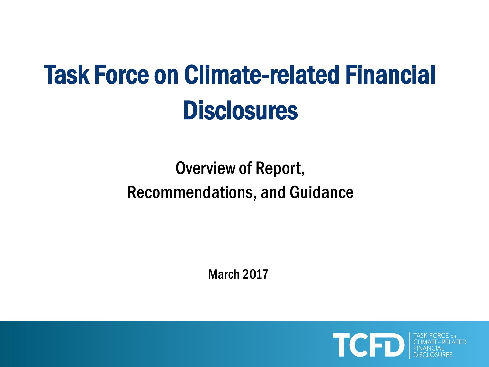# Task Force on Climate-related Financial **Disclosures**

# Overview of Report, Recommendations, and Guidance

March 2017

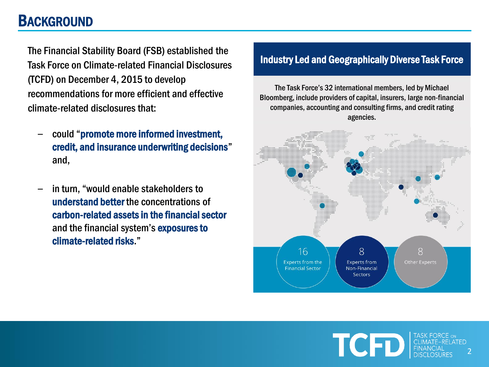### **BACKGROUND**

The Financial Stability Board (FSB) established the Task Force on Climate-related Financial Disclosures (TCFD) on December 4, 2015 to develop recommendations for more efficient and effective climate-related disclosures that:

- ‒ could "promote more informed investment, credit, and insurance underwriting decisions" and,
- ‒ in turn, "would enable stakeholders to understand better the concentrations of carbon-related assets in the financial sector and the financial system's exposures to climate-related risks."

### Industry Led and Geographically Diverse Task Force

The Task Force's 32 international members, led by Michael Bloomberg, include providers of capital, insurers, large non-financial companies, accounting and consulting firms, and credit rating agencies.



TCFT 2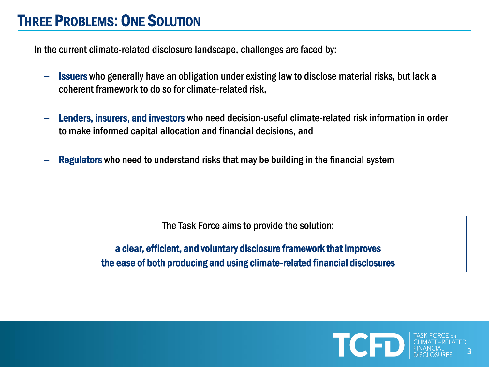### THREE PROBLEMS: ONE SOLUTION

In the current climate-related disclosure landscape, challenges are faced by:

- $\blacksquare$  Issuers who generally have an obligation under existing law to disclose material risks, but lack a coherent framework to do so for climate-related risk,
- Lenders, insurers, and investors who need decision-useful climate-related risk information in order to make informed capital allocation and financial decisions, and
- Regulators who need to understand risks that may be building in the financial system

The Task Force aims to provide the solution:

a clear, efficient, and voluntary disclosure framework that improves the ease of both producing and using climate-related financial disclosures

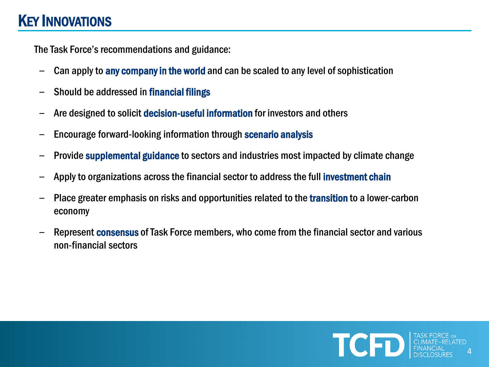### KEY INNOVATIONS

The Task Force's recommendations and guidance:

- Can apply to any company in the world and can be scaled to any level of sophistication
- Should be addressed in financial filings
- ‒ Are designed to solicit decision-useful information for investors and others
- ‒ Encourage forward-looking information through scenario analysis
- ‒ Provide supplemental guidance to sectors and industries most impacted by climate change
- Apply to organizations across the financial sector to address the full **investment chain**
- Place greater emphasis on risks and opportunities related to the transition to a lower-carbon economy
- Represent **consensus** of Task Force members, who come from the financial sector and various non-financial sectors

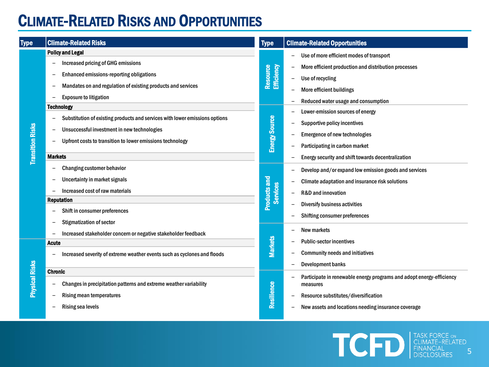# CLIMATE-RELATED RISKS AND OPPORTUNITIES

| <b>Type</b>             | <b>Climate-Related Risks</b>                                                                                                                                                                                                                                                                                                                                                                                                                                                                                                                                                                                                            | <b>Type</b>                                                                              | <b>Climate-Related Opportunities</b>                                                                                                                                                                                                                                                                                                                                                                                                                                                                                                                                                    |
|-------------------------|-----------------------------------------------------------------------------------------------------------------------------------------------------------------------------------------------------------------------------------------------------------------------------------------------------------------------------------------------------------------------------------------------------------------------------------------------------------------------------------------------------------------------------------------------------------------------------------------------------------------------------------------|------------------------------------------------------------------------------------------|-----------------------------------------------------------------------------------------------------------------------------------------------------------------------------------------------------------------------------------------------------------------------------------------------------------------------------------------------------------------------------------------------------------------------------------------------------------------------------------------------------------------------------------------------------------------------------------------|
| <b>Transition Risks</b> | <b>Policy and Legal</b><br><b>Increased pricing of GHG emissions</b><br>Enhanced emissions-reporting obligations<br>Mandates on and regulation of existing products and services<br><b>Exposure to litigation</b><br><b>Technology</b><br>Substitution of existing products and services with lower emissions options<br>$\overline{\phantom{m}}$<br>Unsuccessful investment in new technologies<br>Upfront costs to transition to lower emissions technology<br><b>Markets</b><br>Changing customer behavior<br>Uncertainty in market signals<br>Increased cost of raw materials<br><b>Reputation</b><br>Shift in consumer preferences | Resource<br>Efficiency<br><b>Energy Source</b><br><b>Products and</b><br><b>Services</b> | Use of more efficient modes of transport<br>More efficient production and distribution processes<br>Use of recycling<br>More efficient buildings<br>Reduced water usage and consumption<br>Lower-emission sources of energy<br><b>Supportive policy incentives</b><br><b>Emergence of new technologies</b><br>Participating in carbon market<br>Energy security and shift towards decentralization<br>Develop and/or expand low emission goods and services<br>Climate adaptation and insurance risk solutions<br><b>R&amp;D</b> and innovation<br><b>Diversify business activities</b> |
| <b>Physical Risks</b>   | <b>Stigmatization of sector</b><br>Increased stakeholder concern or negative stakeholder feedback<br>$\overline{\phantom{m}}$<br>Acute<br>Increased severity of extreme weather events such as cyclones and floods<br><b>Chronic</b><br>Changes in precipitation patterns and extreme weather variability<br>Rising mean temperatures<br>$\overline{\phantom{m}}$<br><b>Rising sea levels</b>                                                                                                                                                                                                                                           | <b>Markets</b><br>Resilience                                                             | Shifting consumer preferences<br>New markets<br><b>Public-sector incentives</b><br><b>Community needs and initiatives</b><br><b>Development banks</b><br>Participate in renewable energy programs and adopt energy-efficiency<br>measures<br>Resource substitutes/diversification<br>New assets and locations needing insurance coverage                                                                                                                                                                                                                                                |

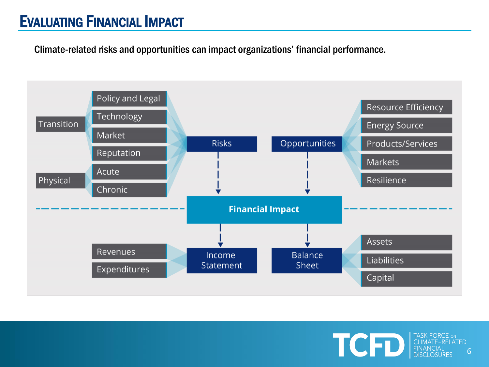### EVALUATING FINANCIAL IMPACT

Climate-related risks and opportunities can impact organizations' financial performance.



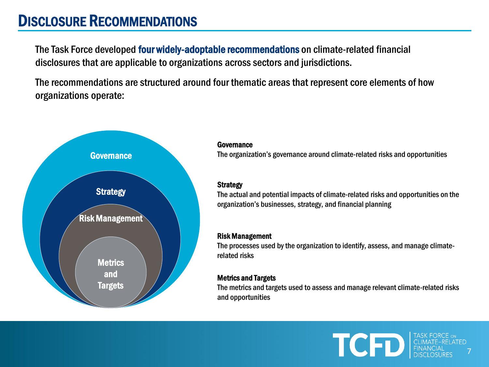### DISCLOSURE RECOMMENDATIONS

The Task Force developed four widely-adoptable recommendations on climate-related financial disclosures that are applicable to organizations across sectors and jurisdictions.

The recommendations are structured around four thematic areas that represent core elements of how organizations operate:



#### Governance

Governance The organization's governance around climate-related risks and opportunities

### **Strategy**

The actual and potential impacts of climate-related risks and opportunities on the organization's businesses, strategy, and financial planning

### Risk Management

The processes used by the organization to identify, assess, and manage climaterelated risks

### Metrics and Targets

The metrics and targets used to assess and manage relevant climate-related risks and opportunities

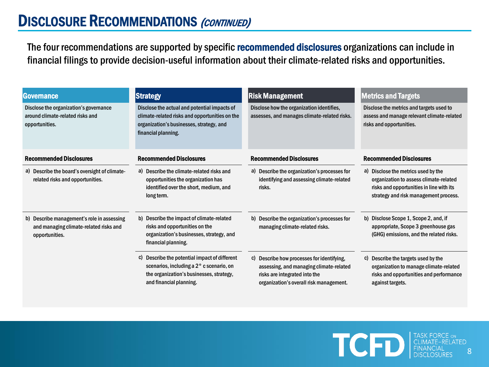The four recommendations are supported by specific recommended disclosures organizations can include in financial filings to provide decision-useful information about their climate-related risks and opportunities.

| <b>Governance</b>                                                                                      | <b>Strategy</b>                                                                                                                                                   | <b>Risk Management</b>                                                                                                                                            | <b>Metrics and Targets</b>                                                                                                                                         |  |  |
|--------------------------------------------------------------------------------------------------------|-------------------------------------------------------------------------------------------------------------------------------------------------------------------|-------------------------------------------------------------------------------------------------------------------------------------------------------------------|--------------------------------------------------------------------------------------------------------------------------------------------------------------------|--|--|
| Disclose the organization's governance<br>around climate-related risks and<br>opportunities.           | Disclose the actual and potential impacts of<br>climate-related risks and opportunities on the<br>organization's businesses, strategy, and<br>financial planning. | Disclose how the organization identifies,<br>assesses, and manages climate-related risks.                                                                         | Disclose the metrics and targets used to<br>assess and manage relevant climate-related<br>risks and opportunities.                                                 |  |  |
| <b>Recommended Disclosures</b>                                                                         | <b>Recommended Disclosures</b>                                                                                                                                    | <b>Recommended Disclosures</b>                                                                                                                                    | <b>Recommended Disclosures</b>                                                                                                                                     |  |  |
| a) Describe the board's oversight of climate-<br>related risks and opportunities.                      | a) Describe the climate-related risks and<br>opportunities the organization has<br>identified over the short, medium, and<br>long term.                           | a) Describe the organization's processes for<br>identifying and assessing climate-related<br>risks.                                                               | a) Disclose the metrics used by the<br>organization to assess climate-related<br>risks and opportunities in line with its<br>strategy and risk management process. |  |  |
| b) Describe management's role in assessing<br>and managing climate-related risks and<br>opportunities. | b) Describe the impact of climate-related<br>risks and opportunities on the<br>organization's businesses, strategy, and<br>financial planning.                    | b) Describe the organization's processes for<br>managing climate-related risks.                                                                                   | b) Disclose Scope 1, Scope 2, and, if<br>appropriate, Scope 3 greenhouse gas<br>(GHG) emissions, and the related risks.                                            |  |  |
|                                                                                                        | c) Describe the potential impact of different<br>scenarios, including a 2° c scenario, on<br>the organization's businesses, strategy,<br>and financial planning.  | c) Describe how processes for identifying,<br>assessing, and managing climate-related<br>risks are integrated into the<br>organization's overall risk management. | c) Describe the targets used by the<br>organization to manage climate-related<br>risks and opportunities and performance<br>against targets.                       |  |  |

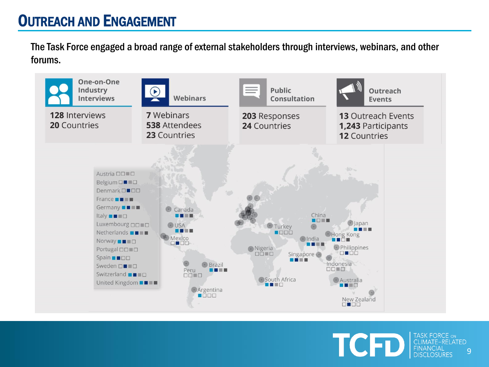The Task Force engaged a broad range of external stakeholders through interviews, webinars, and other forums.



TASK FORCE ON TCFT **CLIMATE-RELATED** 9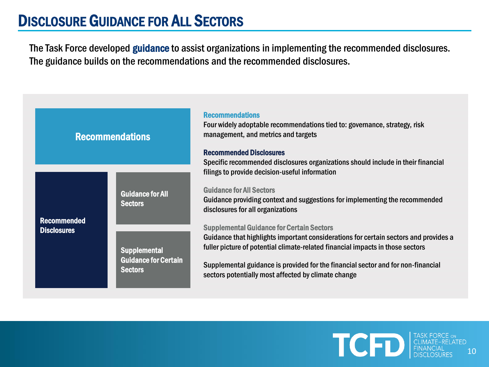# DISCLOSURE GUIDANCE FOR ALL SECTORS

The Task Force developed guidance to assist organizations in implementing the recommended disclosures. The guidance builds on the recommendations and the recommended disclosures.



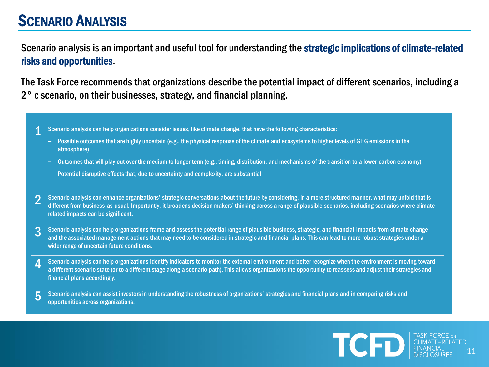### SCENARIO ANALYSIS

Scenario analysis is an important and useful tool for understanding the strategic implications of climate-related risks and opportunities.

The Task Force recommends that organizations describe the potential impact of different scenarios, including a 2° c scenario, on their businesses, strategy, and financial planning.

- 1 Scenario analysis can help organizations consider issues, like climate change, that have the following characteristics:
	- Possible outcomes that are highly uncertain (e.g., the physical response of the climate and ecosystems to higher levels of GHG emissions in the atmosphere)
	- ‒ Outcomes that will play out over the medium to longer term (e.g., timing, distribution, and mechanisms of the transition to a lower-carbon economy)
	- ‒ Potential disruptive effects that, due to uncertainty and complexity, are substantial
- 2 Scenario analysis can enhance organizations' strategic conversations about the future by considering, in a more structured manner, what may unfold that is different from business-as-usual. Importantly, it broadens decision makers' thinking across a range of plausible scenarios, including scenarios where climaterelated impacts can be significant.
- 3 Scenario analysis can help organizations frame and assess the potential range of plausible business, strategic, and financial impacts from climate change and the associated management actions that may need to be considered in strategic and financial plans. This can lead to more robust strategies under a wider range of uncertain future conditions.
- 4 Scenario analysis can help organizations identify indicators to monitor the external environment and better recognize when the environment is moving toward a different scenario state (or to a different stage along a scenario path). This allows organizations the opportunity to reassess and adjust their strategies and financial plans accordingly.
- 5 Scenario analysis can assist investors in understanding the robustness of organizations' strategies and financial plans and in comparing risks and opportunities across organizations.

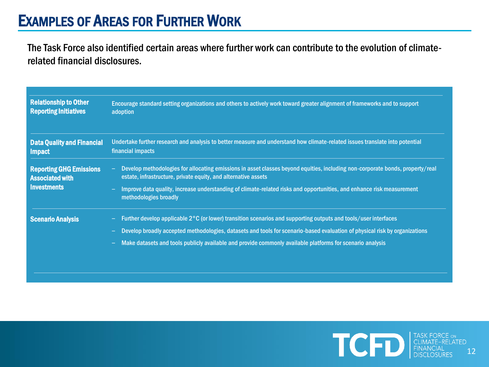The Task Force also identified certain areas where further work can contribute to the evolution of climaterelated financial disclosures.

| <b>Relationship to Other</b><br><b>Reporting Initiatives</b> | Encourage standard setting organizations and others to actively work toward greater alignment of frameworks and to support<br>adoption                                                          |
|--------------------------------------------------------------|-------------------------------------------------------------------------------------------------------------------------------------------------------------------------------------------------|
| <b>Data Quality and Financial</b><br><b>Impact</b>           | Undertake further research and analysis to better measure and understand how climate-related issues translate into potential<br>financial impacts                                               |
| <b>Reporting GHG Emissions</b><br><b>Associated with</b>     | Develop methodologies for allocating emissions in asset classes beyond equities, including non-corporate bonds, property/real<br>estate, infrastructure, private equity, and alternative assets |
| <b>Investments</b>                                           | Improve data quality, increase understanding of climate-related risks and opportunities, and enhance risk measurement<br>methodologies broadly                                                  |
| <b>Scenario Analysis</b>                                     | Further develop applicable 2°C (or lower) transition scenarios and supporting outputs and tools/user interfaces                                                                                 |
|                                                              | Develop broadly accepted methodologies, datasets and tools for scenario-based evaluation of physical risk by organizations                                                                      |
|                                                              | Make datasets and tools publicly available and provide commonly available platforms for scenario analysis                                                                                       |

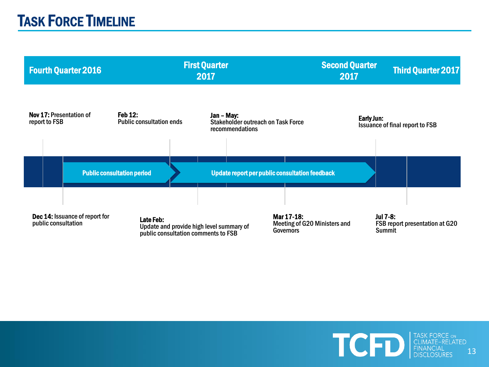|                                                                                                                                                                                                                         |               | <b>Fourth Quarter 2016</b> | <b>First Quarter</b><br>2017                      |  |                                  |                                                              | <b>Second Quarter</b><br>2017 |            | <b>Third Quarter 2017</b> |                                        |
|-------------------------------------------------------------------------------------------------------------------------------------------------------------------------------------------------------------------------|---------------|----------------------------|---------------------------------------------------|--|----------------------------------|--------------------------------------------------------------|-------------------------------|------------|---------------------------|----------------------------------------|
|                                                                                                                                                                                                                         | report to FSB | Nov 17: Presentation of    | <b>Feb 12:</b><br><b>Public consultation ends</b> |  | Jan - May:                       | <b>Stakeholder outreach on Task Force</b><br>recommendations |                               | Early Jun: |                           | <b>Issuance of final report to FSB</b> |
|                                                                                                                                                                                                                         |               |                            |                                                   |  |                                  |                                                              |                               |            |                           |                                        |
|                                                                                                                                                                                                                         |               |                            | <b>Public consultation period</b>                 |  |                                  | Update report per public consultation feedback               |                               |            |                           |                                        |
| Dec 14: Issuance of report for<br>Mar 17-18:<br>Late Feb:<br>public consultation<br>Meeting of G20 Ministers and<br>Update and provide high level summary of<br><b>Governors</b><br>public consultation comments to FSB |               |                            |                                                   |  | <b>Jul 7-8:</b><br><b>Summit</b> | FSB report presentation at G20                               |                               |            |                           |                                        |

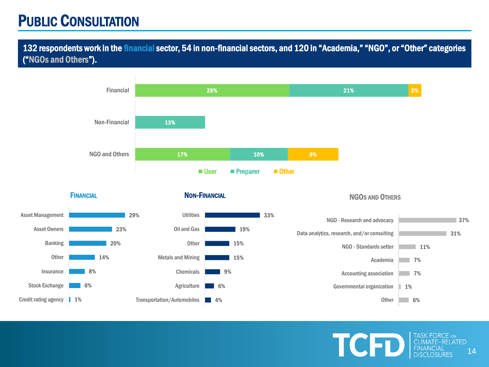# PUBLIC CONSULTATION

132 respondents work in the financial sector, 54 in non-financial sectors, and 120 in "Academia," "NGO", or "Other" categories ("NGOs and Others").





### NON-FINANCIAL



#### NGOS AND OTHERS

TCFI



TASK FORCE ON **CLIMATE-RELATED** 14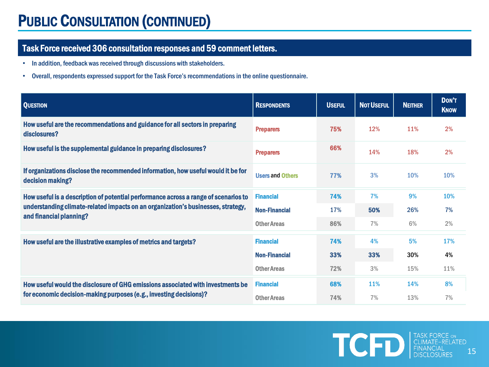# PUBLIC CONSULTATION (CONTINUED)

### Task Force received 306 consultation responses and 59 comment letters.

- In addition, feedback was received through discussions with stakeholders.
- Overall, respondents expressed support for the Task Force's recommendations in the online questionnaire.

| <b>QUESTION</b>                                                                                             | <b>RESPONDENTS</b>      | <b>USEFUL</b> | <b>NOT USEFUL</b> | <b>NEITHER</b> | DON'T<br><b>KNOW</b> |
|-------------------------------------------------------------------------------------------------------------|-------------------------|---------------|-------------------|----------------|----------------------|
| How useful are the recommendations and guidance for all sectors in preparing<br>disclosures?                | <b>Preparers</b>        | 75%           | 12%               | 11%            | 2%                   |
| How useful is the supplemental guidance in preparing disclosures?                                           | <b>Preparers</b>        | 66%           | 14%               | 18%            | 2%                   |
| If organizations disclose the recommended information, how useful would it be for<br>decision making?       | <b>Users and Others</b> | 77%           | 3%                | 10%            | 10%                  |
| How useful is a description of potential performance across a range of scenarios to                         | <b>Financial</b>        | 74%           | 7%                | 9%             | <b>10%</b>           |
| understanding climate-related impacts on an organization's businesses, strategy,<br>and financial planning? | <b>Non-Financial</b>    | 17%           | 50%               | 26%            | 7%                   |
|                                                                                                             | <b>Other Areas</b>      | 86%           | 7%                | 6%             | 2%                   |
| How useful are the illustrative examples of metrics and targets?                                            | <b>Financial</b>        | 74%           | 4%                | 5%             | <b>17%</b>           |
|                                                                                                             | <b>Non-Financial</b>    | 33%           | 33%               | 30%            | 4%                   |
|                                                                                                             | <b>Other Areas</b>      | 72%           | 3%                | 15%            | 11%                  |
| How useful would the disclosure of GHG emissions associated with investments be                             | <b>Financial</b>        | 68%           | <b>11%</b>        | 14%            | 8%                   |
| for economic decision-making purposes (e.g., investing decisions)?                                          | <b>Other Areas</b>      | 74%           | 7%                | 13%            | 7%                   |

**TCHD** FINANCIAL TASK FORCE ON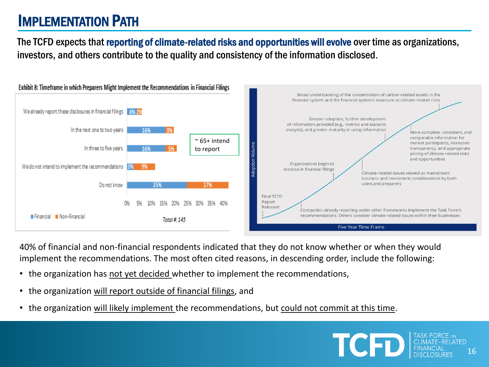# IMPLEMENTATION PATH

The TCFD expects that reporting of climate-related risks and opportunities will evolve over time as organizations, investors, and others contribute to the quality and consistency of the information disclosed.



40% of financial and non-financial respondents indicated that they do not know whether or when they would implement the recommendations. The most often cited reasons, in descending order, include the following:

- the organization has not yet decided whether to implement the recommendations,
- the organization will report outside of financial filings, and
- the organization will likely implement the recommendations, but could not commit at this time.